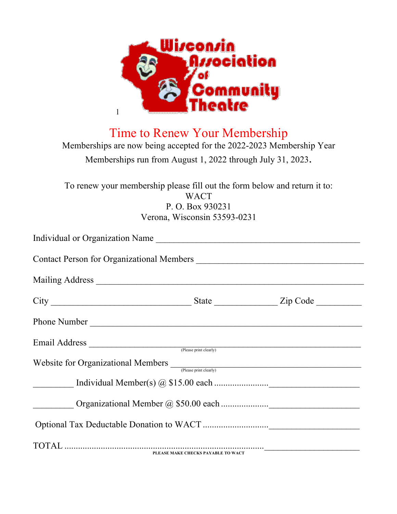

Time to Renew Your Membership

Memberships are now being accepted for the 2022-2023 Membership Year Memberships run from August 1, 2022 through July 31, 2023.

To renew your membership please fill out the form below and return it to: **WACT** P. O. Box 930231 Verona, Wisconsin 53593-0231

|  | Individual or Organization Name<br>Phone Number<br>Email Address (Please print clearly)<br>Website for Organizational Members  (Please print clearly) |  |
|--|-------------------------------------------------------------------------------------------------------------------------------------------------------|--|
|  |                                                                                                                                                       |  |
|  |                                                                                                                                                       |  |
|  |                                                                                                                                                       |  |
|  |                                                                                                                                                       |  |
|  |                                                                                                                                                       |  |
|  |                                                                                                                                                       |  |
|  |                                                                                                                                                       |  |
|  | PLEASE MAKE CHECKS PAYABLE TO WACT                                                                                                                    |  |